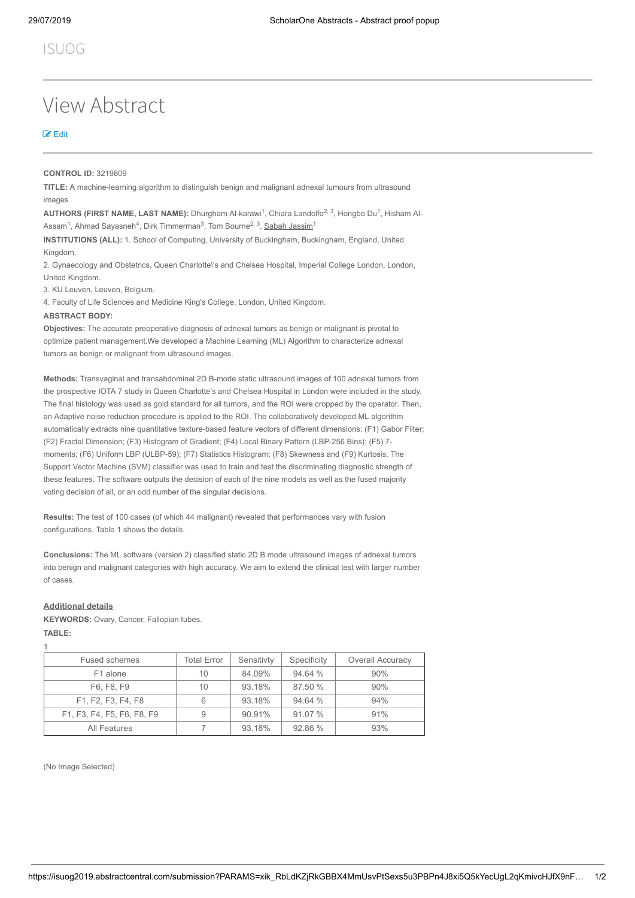# View Abstract

## [Edit](javascript:popUpWindowHref()

#### **CONTROL ID:** 3219809

**TITLE:** A machine-learning algorithm to distinguish benign and malignant adnexal tumours from ultrasound images

**AUTHORS (FIRST NAME, LAST NAME):** Dhurgham Al-karawi<sup>1</sup>, Chiara Landolfo<sup>2, 3</sup>, Hongbo Du<sup>1</sup>, Hisham Al-Assam<sup>1</sup>, Ahmad Sayasneh<sup>4</sup>, Dirk Timmerman<sup>3</sup>, Tom Bourne<sup>2, 3</sup>, <u>Sabah Jassim</u><sup>1</sup>

**INSTITUTIONS (ALL):** 1. School of Computing, University of Buckingham, Buckingham, England, United Kingdom.

2. Gynaecology and Obstetrics, Queen Charlotte\'s and Chelsea Hospital, Imperial College London, London, United Kingdom.

3. KU Leuven, Leuven, Belgium.

4. Faculty of Life Sciences and Medicine King's College, London, United Kingdom.

#### **ABSTRACT BODY:**

**Objectives:** The accurate preoperative diagnosis of adnexal tumors as benign or malignant is pivotal to optimize patient management.We developed a Machine Learning (ML) Algorithm to characterize adnexal tumors as benign or malignant from ultrasound images.

**Methods:** Transvaginal and transabdominal 2D B-mode static ultrasound images of 100 adnexal tumors from the prospective IOTA 7 study in Queen Charlotte's and Chelsea Hospital in London were included in the study. The final histology was used as gold standard for all tumors, and the ROI were cropped by the operator. Then, an Adaptive noise reduction procedure is applied to the ROI. The collaboratively developed ML algorithm automatically extracts nine quantitative texture-based feature vectors of different dimensions: (F1) Gabor Filter; (F2) Fractal Dimension; (F3) Histogram of Gradient; (F4) Local Binary Pattern (LBP-256 Bins); (F5) 7 moments; (F6) Uniform LBP (ULBP-59); (F7) Statistics Histogram; (F8) Skewness and (F9) Kurtosis. The Support Vector Machine (SVM) classifier was used to train and test the discriminating diagnostic strength of these features. The software outputs the decision of each of the nine models as well as the fused majority voting decision of all, or an odd number of the singular decisions.

**Results:** The test of 100 cases (of which 44 malignant) revealed that performances vary with fusion configurations. Table 1 shows the details.

**Conclusions:** The ML software (version 2) classified static 2D B mode ultrasound images of adnexal tumors into benign and malignant categories with high accuracy. We aim to extend the clinical test with larger number of cases.

#### **Additional details**

**KEYWORDS:** Ovary, Cancer, Fallopian tubes.

**TABLE:** 1

| Fused schemes              | <b>Total Error</b> | Sensitivty | Specificity | <b>Overall Accuracy</b> |
|----------------------------|--------------------|------------|-------------|-------------------------|
| F1 alone                   | 10                 | 84.09%     | 94.64 %     | 90%                     |
| F6, F8, F9                 | 10                 | 93.18%     | 87.50 %     | 90%                     |
| F1, F2, F3, F4, F8         | 6                  | 93.18%     | 94.64 %     | 94%                     |
| F1, F3, F4, F5, F6, F8, F9 | 9                  | 90.91%     | 91.07 %     | 91%                     |
| All Features               |                    | 93.18%     | 92.86 %     | 93%                     |

(No Image Selected)